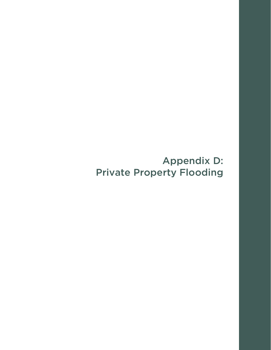# Appendix D: Private Property Flooding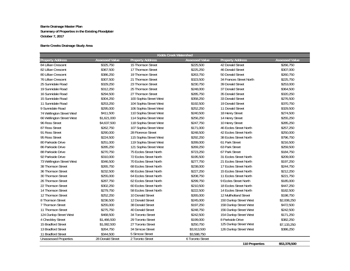## **Barrie Creeks Drainage Study Area**

| Kidds Creek Watershed        |                       |                         |                       |                         |                       |  |
|------------------------------|-----------------------|-------------------------|-----------------------|-------------------------|-----------------------|--|
| <b>Property Address</b>      | <b>Assessed Value</b> | <b>Property Address</b> | <b>Assessed Value</b> | <b>Property Address</b> | <b>Assessed Value</b> |  |
| 84 Lillian Crescent          | \$325,750             | 15 Thomson Street       | \$225,500             | 42 Donald Street        | \$266,750             |  |
| 82 Lillian Crescent          | \$367,500             | 17 Thomson Street       | \$225,250             | 46 Donald Street        | \$307,000             |  |
| 80 Lillian Crescent          | \$386,250             | 19 Thomson Street       | \$263,750             | 50 Donald Street        | \$260,750             |  |
| 76 Lillian Crescent          | \$307,500             | 21 Thomson Street       | \$323,500             | 34 Frances Street North | \$225,750             |  |
| 25 Sunnidale Road            | \$329,250             | 23 Thomson Street       | \$230,750             | 39 Donald Street        | \$253,000             |  |
| 19 Sunnidale Road            | \$312,250             | 25 Thomson Street       | \$248,000             | 37 Donald Street        | \$364,500             |  |
| 16 Sunnidale Road            | \$294,500             | 27 Thomson Street       | \$285,750             | 35 Donald Street        | \$320,250             |  |
| 15 Sunnidale Road            | \$304,250             | 100 Sophia Street West  | \$358,250             | 33 Donald Street        | \$276,500             |  |
| 11 Sunnidale Road            | \$253,250             | 104 Sophia Street West  | \$192,500             | 19 Donald Street        | \$370,750             |  |
| 9 Sunnidale Road             | \$295,000             | 106 Sophia Street West  | \$252,250             | 11 Donald Street        | \$329,500             |  |
| 74 Wellington Street West    | \$411,500             | 110 Sophia Street West  | \$240,500             | 18 Henry Street         | \$274,500             |  |
| 66 Wellington Street West    | \$1,621,000           | 114 Sophia Street West  | \$256,250             | 14 Henry Street         | \$255,250             |  |
| 96 Ross Street               | \$4,637,500           | 118 Sophia Street West  | \$247,750             | 10 Henry Street         | \$285,250             |  |
| 87 Ross Street               | \$262,750             | 107 Sophia Street West  | \$171,000             | 46 Eccles Street North  | \$257,250             |  |
| 91 Ross Street               | \$290,000             | 28 Florence Street      | \$248,500             | 42 Eccles Street North  | \$250,000             |  |
| 95 Ross Street               | \$224,500             | 115 Sophia Street West  | \$292,250             | 38 Eccles Street North  | \$796,750             |  |
| 80 Parkside Drive            | \$251,000             | 119 Sophia Street West  | \$289,000             | 61 Park Street          | \$216,500             |  |
| 86 Parkside Drive            | \$285,250             | 121 Sophia Street West  | \$269,250             | 63 Park Street          | \$259,500             |  |
| 88 Parkside Drive            | \$270,750             | 75 Eccles Street North  | \$723,250             | 67 Park Street          | \$184,750             |  |
| 92 Parkside Drive            | \$310,000             | 72 Eccles Street North  | \$195,500             | 31 Eccles Street North  | \$209,000             |  |
| 73 Wellington Street West    | \$346,500             | 70 Eccles Street North  | \$277,750             | 21 Eccles Street North  | \$197,250             |  |
| 38 Thomson Street            | \$265,750             | 68 Eccles Street North  | \$238,000             | 17 Eccles Street North  | \$244,750             |  |
| 36 Thomson Street            | \$232,500             | 66 Eccles Street North  | \$227,250             | 15 Eccles Street North  | \$212,250             |  |
| 30 Thomson Street            | \$255,000             | 64 Eccles Street North  | \$208,750             | 11 Eccles Street North  | \$221,750             |  |
| 26 Thomson Street            | \$287,750             | 62 Eccles Street North  | \$299,750             | 9 Eccles Street North   | \$185,000             |  |
| 22 Thomson Street            | \$302,250             | 60 Eccles Street North  | \$210,500             | 18 Eccles Street North  | \$447,250             |  |
| 14 Thomson Street            | \$279,750             | 58 Eccles Street North  | \$222,500             | 14 Eccles Street North  | \$182,500             |  |
| 12 Thomson Street            | \$252,250             | 10 Donald Street        | \$265,000             | 12 Mullholland Street   | \$198,750             |  |
| 8 Thomson Street             | \$236,500             | 12 Donald Street        | \$245,000             | 150 Dunlop Street West  | \$2,008,250           |  |
| 7 Thomson Street             | \$255,000             | 38 Donald Street        | \$197,250             | 158 Dunlop Street West  | \$472,500             |  |
| 11 Thomson Street            | \$275,750             | 40 Donald Street        | \$248,750             | 156 Dunlop Street West  | \$242,500             |  |
| 124 Dunlop Street West       | \$468,500             | 34 Toronto Street       | \$242,500             | 154 Dunlop Street West  | \$171,250             |  |
| 4 Checkley Street            | \$1,466,500           | 29 Toronto Street       | \$199,000             | 8 Parkside Drive        | \$382,250             |  |
| 15 Bradford Street           | \$1,082,500           | 27 Toronto Street       | \$250,750             | 125 Dunlop Street West  | \$7,133,250           |  |
| 13 Bradford Street           | \$264,750             | 34 Simcoe Street        | \$3,913,500           | 126 Dunlop Street West  | \$386,250             |  |
| 11 Bradford Street           | \$344,500             | 5 Simcoe Street         | \$3,588,750           |                         |                       |  |
| <b>Unassessed Properties</b> | 28 Donald Street      | 2 Toronto Street        | 6 Toronto Street      |                         |                       |  |
|                              |                       |                         |                       | 110 Properties          | \$53,378,500          |  |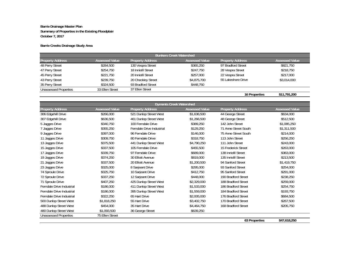## **Barrie Creeks Drainage Study Area**

| <b>Bunkers Creek Watershed</b> |                       |                         |                       |                         |                       |
|--------------------------------|-----------------------|-------------------------|-----------------------|-------------------------|-----------------------|
| <b>Property Address</b>        | <b>Assessed Value</b> | <b>Property Address</b> | <b>Assessed Value</b> | <b>Property Address</b> | <b>Assessed Value</b> |
| 48 Perry Street                | \$284,500             | 130 Vespra Street       | \$365,250             | 97 Bradford Street      | \$821,750             |
| 47 Perry Street                | \$254,750             | 18 Innisfil Street      | \$247,750             | 28 Vespra Street        | \$218,750             |
| 45 Perry Street                | \$221,750             | 20 Innisfil Street      | \$257,000             | 22 Vespra Street        | \$217,000             |
| 43 Perry Street                | \$239,750             | 20 Checkley Street      | \$4,875,700           | 55 Lakeshore Drive      | \$3,014,000           |
| 35 Perry Street                | \$324,500             | 93 Bradford Street      | \$448.750             |                         |                       |
| <b>Unassessed Properties</b>   | 33 Ellen Street       | 37 Ellen Street         |                       |                         |                       |

**16 Properties \$11,791,200**

| <b>Dyments Creek Watershed</b> |                       |                           |                       |                         |                       |
|--------------------------------|-----------------------|---------------------------|-----------------------|-------------------------|-----------------------|
| <b>Property Address</b>        | <b>Assessed Value</b> | <b>Property Address</b>   | <b>Assessed Value</b> | <b>Property Address</b> | <b>Assessed Value</b> |
| 306 Edgehill Drive             | \$266,000             | 521 Dunlop Street West    | \$1,636,500           | 44 George Street        | \$634,000             |
| 307 Edgehill Drive             | \$636,500             | 461 Dunlop Street West    | \$1,266,500           | 48 George Street        | \$512,500             |
| 5 Jagges Drive                 | \$340,750             | 100 Ferndale Drive        | \$389,250             | 142 John Street         | \$1,085,250           |
| 7 Jagges Drive                 | \$355,250             | Ferndale Drive Industrial | \$129,250             | 71 Anne Street South    | \$1,311,500           |
| 9 Jagges Drive                 | \$397,000             | 96 Ferndale Drive         | \$146,000             | 75 Anne Street South    | \$214,000             |
| 11 Jagges Drive                | \$309,750             | 80 Ferndale Drive         | \$318,750             | 113 John Street         | \$256,250             |
| 13 Jagges Drive                | \$375,500             | 441 Dunlop Street West    | \$4,790,250           | 111 John Street         | \$243,000             |
| 15 Jagges Drive                | \$337,500             | 105 Ferndale Drive        | \$455,500             | 15 Frederick Street     | \$263,000             |
| 17 Jagges Drive                | \$339,750             | 97 Ferndale Drive         | \$689,000             | 138 Innisfil Street     | \$363,000             |
| 19 Jagges Drive                | \$374,250             | 30 Elliott Avenue         | \$819,000             | 135 Innisfil Street     | \$213,500             |
| 21 Jagges Drive                | \$337,500             | 20 Elliott Avenue         | \$1,200,500           | 94 Sanford Street       | \$1,419,750           |
| 23 Jagges Drive                | \$325,000             | 8 Sarjeant Drive          | \$295,000             | 93 Sanford Street       | \$254,000             |
| 74 Sproule Drive               | \$325,750             | 10 Sarjeant Drive         | \$412,750             | 95 Sanford Street       | \$291,000             |
| 72 Sproule Drive               | \$337,250             | 12 Sarjeant Drive         | \$448,000             | 190 Bradford Street     | \$238,250             |
| 71 Sproule Drive               | \$407,250             | 425 Dunlop Street West    | \$2,329,000           | 188 Bradford Street     | \$259,000             |
| Ferndale Drive Industrial      | \$186,000             | 411 Dunlop Street West    | \$1,533,000           | 186 Bradford Street     | \$254,750             |
| Ferndale Drive Industrial      | \$186,000             | 395 Dunlop Street West    | \$1,559,000           | 184 Bradford Street     | \$193,750             |
| Ferndale Drive Industrial      | \$322,250             | 65 Hart Drive             | \$2,005,000           | 176 Bradford Street     | \$684,500             |
| 500 Dunlop Street West         | \$1,818,250           | 55 Hart Drive             | \$3,402,750           | 170 Bradford Street     | \$267,500             |
| 488 Dunlop Street West         | \$454,000             | 35 Hart Drive             | \$4,464,750           | 168 Bradford Street     | \$205,750             |
| 480 Dunlop Street West         | \$1,093,500           | 36 George Street          | \$639,250             |                         |                       |
| <b>Unassessed Properties</b>   | 75 Ellen Street       |                           |                       |                         |                       |
|                                |                       |                           |                       | 63 Properties           | \$47,618,250          |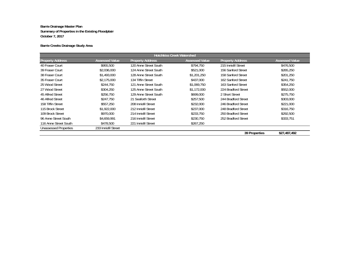## **Barrie Creeks Drainage Study Area**

| <b>Hotchkiss Creek Watershed</b> |                       |                         |                       |                         |                       |
|----------------------------------|-----------------------|-------------------------|-----------------------|-------------------------|-----------------------|
| <b>Property Address</b>          | <b>Assessed Value</b> | <b>Property Address</b> | <b>Assessed Value</b> | <b>Property Address</b> | <b>Assessed Value</b> |
| 40 Fraser Court                  | \$955,500             | 120 Anne Street South   | \$794,750             | 215 Innisfil Street     | \$476,500             |
| 39 Fraser Court                  | \$2,036,000           | 124 Anne Street South   | \$521,000             | 156 Sanford Street      | \$265,250             |
| 38 Fraser Court                  | \$1,493,000           | 128 Anne Street South   | \$1,201,250           | 158 Sanford Street      | \$201,250             |
| 35 Fraser Court                  | \$2,175,000           | 134 Tiffin Street       | \$437,000             | 162 Sanford Street      | \$241,750             |
| 25 Wood Street                   | \$244,750             | 121 Anne Street South   | \$1,069,750           | 163 Sanford Street      | \$354,250             |
| 27 Wood Street                   | \$304,250             | 125 Anne Street South   | \$1,172,000           | 224 Bradford Street     | \$552,000             |
| 45 Alfred Street                 | \$256,750             | 129 Anne Street South   | \$699,000             | 2 Short Street          | \$275,750             |
| 46 Alfred Street                 | \$247.750             | 21 Seaforth Street      | \$257,500             | 244 Bradford Street     | \$303,000             |
| 158 Tiffin Street                | \$557,250             | 208 Innisfil Street     | \$232,000             | 246 Bradford Street     | \$221,000             |
| 115 Brock Street                 | \$1,922,000           | 212 Innisfil Street     | \$237,000             | 248 Bradford Street     | \$316,750             |
| 109 Brock Street                 | \$970,000             | 214 Innisfil Street     | \$233,750             | 250 Bradford Street     | \$292,500             |
| 96 Anne Street South             | \$4,659,991           | 216 Innisfil Street     | \$230,750             | 252 Bradford Street     | \$333,751             |
| 116 Anne Street South            | \$478,500             | 221 Innisfil Street     | \$267,250             |                         |                       |
| Unassessed Properties            | 233 Innisfil Street   |                         |                       |                         |                       |
|                                  |                       |                         |                       | 39 Properties           | \$27,487,492          |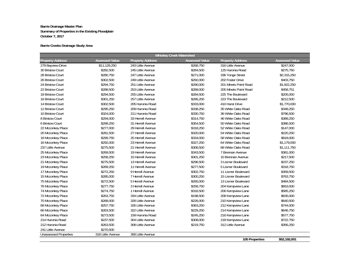## **Barrie Creeks Drainage Study Area**

| <b>Whiskey Creek Watershed</b> |                       |                         |                       |                         |                       |
|--------------------------------|-----------------------|-------------------------|-----------------------|-------------------------|-----------------------|
| <b>Property Address</b>        | <b>Assessed Value</b> | <b>Property Address</b> | <b>Assessed Value</b> | <b>Property Address</b> | <b>Assessed Value</b> |
| 279 Bayview Drive              | \$11,129,250          | 243 Little Avenue       | \$268,750             | 316 Little Avenue       | \$247,000             |
| 30 Bristow Court               | \$282,500             | 245 Little Avenue       | \$284,500             | 125 Huronia Road        | \$275,750             |
| 28 Bristow Court               | \$280,750             | 247 Little Avenue       | \$271,000             | 336 Yonge Street        | \$2,315,250           |
| 26 Bristow Court               | \$302,500             | 249 Little Avenue       | \$292,000             | 202 Foster Drive        | \$403,750             |
| 24 Bristow Court               | \$294,750             | 251 Little Avenue       | \$290,000             | 201 Minets Point Road   | \$1,922,250           |
| 22 Bristow Court               | \$288,500             | 253 Little Avenue       | \$289,000             | 205 Minets Point Road   | \$458,751             |
| 18 Bristow Court               | \$294,500             | 255 Little Avenue       | \$284,500             | 225 The Boulevard       | \$205,000             |
| 16 Bristow Court               | \$301,250             | 257 Little Avenue       | \$285,250             | 223 The Boulevard       | \$212,500             |
| 14 Bristow Court               | \$302,500             | 205 Huronia Road        | \$333,000             | 410 Hurst Drive         | \$1,770,000           |
| 12 Bristow Court               | \$295,250             | 209 Huronia Road        | \$338,250             | 35 White Oaks Road      | \$348,250             |
| 10 Bristow Court               | \$324,000             | 211 Huronia Road        | \$330,750             | 36 White Oaks Road      | \$796,500             |
| 8 Bristow Court                | \$294,000             | 33 Herrell Avenue       | \$314,750             | 46 White Oaks Road      | \$389,250             |
| 6 Bristow Court                | \$299,250             | 31 Herrell Avenue       | \$354,500             | 50 White Oaks Road      | \$386,500             |
| 22 Mcconkey Place              | \$277,000             | 29 Herrell Avenue       | \$318,250             | 52 White Oaks Road      | \$147,000             |
| 20 Mcconkey Place              | \$281,500             | 27 Herrell Avenue       | \$320,000             | 54 White Oaks Road      | \$220,250             |
| 18 Mcconkey Place              | \$299,750             | 25 Herrell Avenue       | \$334,000             | 58 White Oaks Road      | \$818,000             |
| 16 Mcconkey Place              | \$292,000             | 23 Herrell Avenue       | \$327,250             | 64 White Oaks Road      | \$1,179,000           |
| 237 Little Avenue              | \$275,500             | 21 Herrell Avenue       | \$306,500             | 68 White Oaks Road      | \$1,111,750           |
| 25 Mcconkey Place              | \$269,500             | 19 Herrell Avenue       | \$343,500             | 7 Brennan Avenue        | \$381,000             |
| 23 Mcconkey Place              | \$258,250             | 15 Herrell Avenue       | \$301,250             | 10 Brennan Avenue       | \$217,500             |
| 21 Mcconkey Place              | \$275,500             | 13 Herrell Avenue       | \$296,500             | 3 Lismer Boulevard      | \$237,250             |
| 19 Mcconkey Place              | \$269,250             | 11 Herrell Avenue       | \$277,500             | 5 Lismer Boulevard      | \$318,750             |
| 17 Mcconkey Place              | \$272,250             | 9 Herrell Avenue        | \$302,750             | 11 Lismer Boulevard     | \$359,500             |
| 15 Mcconkey Place              | \$285,000             | 7 Herrell Avenue        | \$300,250             | 15 Lismer Boulevard     | \$763,750             |
| 75 Mcconkey Place              | \$272,500             | 5 Herrell Avenue        | \$265,000             | 13 Lismer Boulevard     | \$484,500             |
| 76 Mcconkey Place              | \$277,750             | 3 Herrell Avenue        | \$258,750             | 204 Kempview Lane       | \$653,000             |
| 74 Mcconkey Place              | \$274,750             | 1 Herrell Avenue        | \$316,500             | 206 Kempview Lane       | \$585,250             |
| 72 Mcconkey Place              | \$263,750             | 334 Little Avenue       | \$198,500             | 208 Kempview Lane       | \$635,000             |
| 70 Mcconkey Place              | \$268,000             | 328 Little Avenue       | \$226,000             | 210 Kempview Lane       | \$640,500             |
| 68 Mcconkey Place              | \$257,750             | 326 Little Avenue       | \$363,250             | 212 Kempview Lane       | \$744,000             |
| 66 Mcconkey Place              | \$263,500             | 322 Little Avenue       | \$229,250             | 214 Kempview Lane       | \$646,750             |
| 64 Mcconkey Place              | \$273,500             | 159 Huronia Road        | \$245,250             | 216 Kempview Lane       | \$577,750             |
| 214 Huronia Road               | \$237,500             | 304 Little Avenue       | \$308,000             | 218 Kempview Lane       | \$722,750             |
| 212 Huronia Road               | \$263,500             | 308 Little Avenue       | \$219,750             | 312 Little Avenue       | \$356,250             |
| 241 Little Avenue              | \$270,500             |                         |                       |                         |                       |
| <b>Unassessed Properties</b>   | 318 Little Avenue     | 358 Little Avenue       |                       | $10F$ Dranartics        | 0.523302004           |

**\$52,192,001 105 Properties**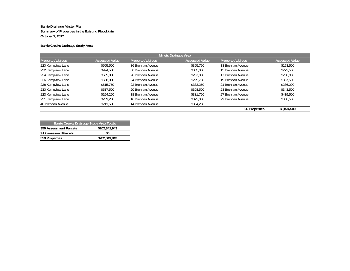## **Barrie Creeks Drainage Study Area**

| <b>Minets Drainage Area</b> |                       |                         |                       |                         |                       |
|-----------------------------|-----------------------|-------------------------|-----------------------|-------------------------|-----------------------|
| <b>Property Address</b>     | <b>Assessed Value</b> | <b>Property Address</b> | <b>Assessed Value</b> | <b>Property Address</b> | <b>Assessed Value</b> |
| 220 Kempview Lane           | \$565,500             | 36 Brennan Avenue       | \$365,750             | 13 Brennan Avenue       | \$253,500             |
| 222 Kempview Lane           | \$994,500             | 30 Brennan Avenue       | \$363,000             | 15 Brennan Avenue       | \$272,500             |
| 224 Kempview Lane           | \$565,000             | 28 Brennan Avenue       | \$287,000             | 17 Brennan Avenue       | \$250,000             |
| 226 Kempview Lane           | \$558,000             | 24 Brennan Avenue       | \$229,750             | 19 Brennan Avenue       | \$337.500             |
| 228 Kempview Lane           | \$615,750             | 22 Brennan Avenue       | \$333,250             | 21 Brennan Avenue       | \$286,000             |
| 230 Kempview Lane           | \$517.500             | 20 Brennan Avenue       | \$303,500             | 23 Brennan Avenue       | \$343,500             |
| 223 Kempview Lane           | \$154,250             | 18 Brennan Avenue       | \$331,750             | 27 Brennan Avenue       | \$419,500             |
| 221 Kempview Lane           | \$239,250             | 16 Brennan Avenue       | \$372,000             | 29 Brennan Avenue       | \$350,500             |
| 40 Brennan Avenue           | \$211,500             | 14 Brennan Avenue       | \$354,250             |                         |                       |
|                             |                       |                         |                       | 26 Properties           | \$9,874,500           |

| Barrie Creeks Drainage Study Area Totals |               |  |  |  |  |
|------------------------------------------|---------------|--|--|--|--|
| 350 Assessment Parcels                   | \$202,341,943 |  |  |  |  |
| 9 Unassessed Parcels                     | \$0           |  |  |  |  |
| 359 Properties                           | \$202,341,943 |  |  |  |  |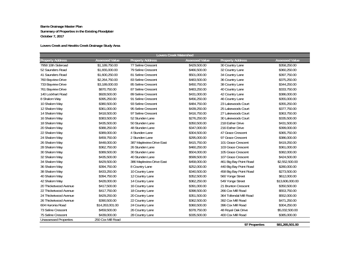## **Lovers Creek and Hewitts Creek Drainage Study Area**

| <b>Lovers Creek Watershed</b> |                       |                          |                       |                         |                       |
|-------------------------------|-----------------------|--------------------------|-----------------------|-------------------------|-----------------------|
| <b>Property Address</b>       | <b>Assessed Value</b> | <b>Property Address</b>  | <b>Assessed Value</b> | <b>Property Address</b> | <b>Assessed Value</b> |
| 7958 10th Sideroad            | \$1,189,750.00        | 77 Seline Crescent       | \$429,500.00          | 30 Country Lane         | \$358,250.00          |
| 52 Saunders Road              | \$1,655,000.00        | 79 Seline Crescent       | \$466,500.00          | 32 Country Lane         | \$360,250.00          |
| 41 Saunders Road              | \$1,600,250.00        | 81 Seline Crescent       | \$501,000.00          | 34 Country Lane         | \$397,750.00          |
| 760 Bayview Drive             | \$2,264,750.00        | 83 Seline Crescent       | \$483,500.00          | 36 Country Lane         | \$375,250.00          |
| 733 Bayview Drive             | \$3,189,000.00        | 85 Seline Crescent       | \$450,750.00          | 38 Country Lane         | \$344,250.00          |
| 761 Bayview Drive             | \$870,750.00          | 87 Seline Crescent       | \$483,250.00          | 40 Country Lane         | \$333,750.00          |
| 140 Lockhart Road             | \$928,500.00          | 89 Seline Crescent       | \$431,000.00          | 42 Country Lane         | \$386,000.00          |
| 8 Shalom Way                  | \$395,250.00          | 91 Seline Crescent       | \$456,250.00          | 46 Country Lane         | \$355,000.00          |
| 10 Shalom Way                 | \$380,500.00          | 93 Seline Crescent       | \$484,750.00          | 23 Lakewoods Court      | \$355,250.00          |
| 12 Shalom Way                 | \$361,000.00          | 95 Seline Crescent       | \$439,250.00          | 25 Lakewoods Court      | \$377,750.00          |
| 14 Shalom Way                 | \$418,500.00          | 97 Seline Crescent       | \$416,750.00          | 27 Lakewoods Court      | \$363,750.00          |
| 16 Shalom Way                 | \$383,500.00          | 52 Stunden Lane          | \$276,250.00          | 30 Lakewoods Court      | \$335,500.00          |
| 18 Shalom Way                 | \$435,500.00          | 50 Stunden Lane          | \$350,500.00          | 218 Esther Drive        | \$431,500.00          |
| 20 Shalom Way                 | \$388,250.00          | 48 Stunden Lane          | \$347,000.00          | 216 Esther Drive        | \$399,000.00          |
| 22 Shalom Way                 | \$389,000.00          | 4 Stunden Lane           | \$304,500.00          | 47 Grace Crescent       | \$365,750.00          |
| 24 Shalom Way                 | \$459,750.00          | 2 Stunden Lane           | \$295,000.00          | 97 Grace Crescent       | \$386,000.00          |
| 26 Shalom Way                 | \$448,000.00          | 387 Mapleview Drive East | \$415,750.00          | 101 Grace Crescent      | \$419,250.00          |
| 28 Shalom Way                 | \$362,750.00          | 26 Stunden Lane          | \$460,250.00          | 103 Grace Crescent      | \$361,000.00          |
| 30 Shalom Way                 | \$389,500.00          | 30 Stunden Lane          | \$504,000.00          | 105 Grace Crescent      | \$382,000.00          |
| 32 Shalom Way                 | \$435,500.00          | 40 Stunden Lane          | \$599,500.00          | 107 Grace Crescent      | \$424,500.00          |
| 34 Shalom Way                 | \$429,500.00          | 386 Mapleview Drive East | \$458,000.00          | 461 Big Bay Point Road  | \$2,552,500.00        |
| 36 Shalom Way                 | \$394,750.00          | 8 Country Lane           | \$252,000.00          | 440 Big Bay Point Road  | \$280,000.00          |
| 38 Shalom Way                 | \$433,250.00          | 10 Country Lane          | \$340,500.00          | 458 Big Bay Point Road  | \$273,500.00          |
| 40 Shalom Way                 | \$394,750.00          | 12 Country Lane          | \$352,500.00          | 560 Yonge Street        | \$612,000.00          |
| 42 Shalom Way                 | \$428,000.00          | 14 Country Lane          | \$362,250.00          | 549 Yonge Street        | \$13,606,000.00       |
| 20 Thicketwood Avenue         | \$417,500.00          | 16 Country Lane          | \$391,000.00          | 21 Brunton Crescent     | \$350,500.00          |
| 22 Thicketwood Avenue         | \$417,750.00          | 18 Country Lane          | \$398,500.00          | 266 Cox Mill Road       | \$553,750.00          |
| 24 Thicketwood Avenue         | \$429,250.00          | 20 Country Lane          | \$351,500.00          | 364 Tollendal Mill Road | \$552,000.00          |
| 26 Thicketwood Avenue         | \$390,500.00          | 22 Country Lane          | \$362,500.00          | 392 Cox Mill Road       | \$471,250.00          |
| 604 Huronia Road              | \$14,263,001.00       | 24 Country Lane          | \$360,500.00          | 396 Cox Mill Road       | \$304,250.00          |
| 73 Seline Crescent            | \$459,500.00          | 26 Country Lane          | \$378,750.00          | 48 Royal Oak Drive      | \$5,032,500.00        |
| 75 Seline Crescent            | \$439,000.00          | 28 Country Lane          | \$335,500.00          | 400 Cox Mill Road       | \$385,000.00          |
| <b>Unassessed Properties</b>  | 250 Cox Mill Road     |                          |                       |                         |                       |
|                               |                       |                          |                       | 97 Properties           | \$81,265,501.00       |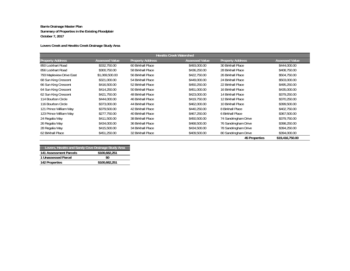## **Lovers Creek and Hewitts Creek Drainage Study Area**

| <b>Hewitts Creek Watershed</b> |                       |                         |                       |                         |                       |
|--------------------------------|-----------------------|-------------------------|-----------------------|-------------------------|-----------------------|
| <b>Property Address</b>        | <b>Assessed Value</b> | <b>Property Address</b> | <b>Assessed Value</b> | <b>Property Address</b> | <b>Assessed Value</b> |
| 850 Lockhart Road              | \$332,750.00          | 60 Birkhall Place       | \$493,000.00          | 30 Birkhall Place       | \$444,000.00          |
| 856 Lockhart Road              | \$300,750.00          | 58 Birkhall Place       | \$436,250.00          | 28 Birkhall Place       | \$408,750.00          |
| 793 Mapleview Drive East       | \$1,069,500.00        | 56 Birkhall Place       | \$422,750.00          | 26 Birkhall Place       | \$504,750.00          |
| 68 Sun King Crescent           | \$321,000.00          | 54 Birkhall Place       | \$449,000.00          | 24 Birkhall Place       | \$503,000.00          |
| 66 Sun King Crescent           | \$416,500.00          | 52 Birkhall Place       | \$450,250.00          | 22 Birkhall Place       | \$495,250.00          |
| 64 Sun King Crescent           | \$414,250.00          | 50 Birkhall Place       | \$451,000.00          | 16 Birkhall Place       | \$435,000.00          |
| 62 Sun King Crescent           | \$421,750.00          | 48 Birkhall Place       | \$423,000.00          | 14 Birkhall Place       | \$379,250.00          |
| 114 Bourbon Circle             | \$444,000.00          | 46 Birkhall Place       | \$419,750.00          | 12 Birkhall Place       | \$370,250.00          |
| 116 Bourbon Circle             | \$373,000.00          | 44 Birkhall Place       | \$462,000.00          | 10 Birkhall Place       | \$399,500.00          |
| 121 Prince William Way         | \$379,500.00          | 42 Birkhall Place       | \$440,250.00          | 8 Birkhall Place        | \$402,750.00          |
| 123 Prince William Way         | \$277,750.00          | 40 Birkhall Place       | \$467,250.00          | 6 Birkhall Place        | \$367,500.00          |
| 24 Regalia Way                 | \$411,500.00          | 38 Birkhall Place       | \$450,500.00          | 74 Sandringham Drive    | \$379,750.00          |
| 26 Regalia Way                 | \$434,000.00          | 36 Birkhall Place       | \$468,500.00          | 76 Sandringham Drive    | \$398,250.00          |
| 28 Regalia Way                 | \$415,500.00          | 34 Birkhall Place       | \$434,500.00          | 78 Sandringham Drive    | \$394,250.00          |
| 62 Birkhall Place              | \$451,250.00          | 32 Birkhall Place       | \$409,500.00          | 80 Sandringham Drive    | \$394,000.00          |
|                                |                       |                         |                       | 45 Properties           | \$19,416,750.00       |

|                        | Lovers, Hewitts and Sandy Cove Drainage Study Area |
|------------------------|----------------------------------------------------|
| 141 Assessment Parcels | \$100.682.251                                      |
| 1 Unassessed Parcel    | \$0                                                |
| 142 Properties         | \$100,682,251                                      |